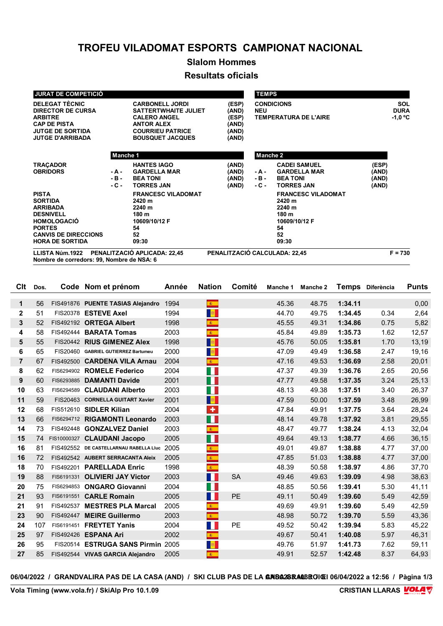## **TROFEU VILADOMAT ESPORTS CAMPIONAT NACIONAL**

# **Slalom Hommes**

#### **Resultats oficials**

| <b>JURAT DE COMPETICIÓ</b>                                                                                                                                            |                              |                                                                                                                                                         |                                                    | <b>TEMPS</b>             |                                                                                              |                                        |
|-----------------------------------------------------------------------------------------------------------------------------------------------------------------------|------------------------------|---------------------------------------------------------------------------------------------------------------------------------------------------------|----------------------------------------------------|--------------------------|----------------------------------------------------------------------------------------------|----------------------------------------|
| <b>DELEGAT TÈCNIC</b><br><b>DIRECTOR DE CURSA</b><br><b>ARBITRE</b><br><b>CAP DE PISTA</b><br><b>JUTGE DE SORTIDA</b><br><b>JUTGE D'ARRIBADA</b>                      |                              | <b>CARBONELL JORDI</b><br><b>SATTERTWHAITE JULIET</b><br><b>CALERO ANGEL</b><br><b>ANTOR ALEX</b><br><b>COURRIEU PATRICE</b><br><b>BOUSQUET JACQUES</b> | (ESP)<br>(AND)<br>(ESP)<br>(AND)<br>(AND)<br>(AND) | <b>NEU</b>               | <b>CONDICIONS</b><br><b>TEMPERATURA DE L'AIRE</b>                                            | <b>SOL</b><br><b>DURA</b><br>$-1,0$ °C |
|                                                                                                                                                                       | Manche 1                     |                                                                                                                                                         |                                                    | Manche 2                 |                                                                                              |                                        |
| <b>TRACADOR</b><br><b>OBRIDORS</b>                                                                                                                                    | - A -<br>$-B -$<br>$-C -$    | <b>HANTES IAGO</b><br><b>GARDELLA MAR</b><br><b>BEA TONI</b><br><b>TORRES JAN</b>                                                                       | (AND)<br>(AND)<br>(AND)<br>(AND)                   | - A -<br>$-B -$<br>- C - | <b>CADEI SAMUEL</b><br><b>GARDELLA MAR</b><br><b>BEA TONI</b><br><b>TORRES JAN</b>           | (ESP)<br>(AND)<br>(AND)<br>(AND)       |
| <b>PISTA</b><br><b>SORTIDA</b><br><b>ARRIBADA</b><br><b>DESNIVELL</b><br><b>HOMOLOGACIÓ</b><br><b>PORTES</b><br><b>CANVIS DE DIRECCIONS</b><br><b>HORA DE SORTIDA</b> |                              | <b>FRANCESC VILADOMAT</b><br>2420 m<br>2240 m<br>180 m<br>10609/10/12 F<br>54<br>52<br>09:30                                                            |                                                    |                          | <b>FRANCESC VILADOMAT</b><br>2420 m<br>2240 m<br>180 m<br>10609/10/12 F<br>54<br>52<br>09:30 |                                        |
| LLISTA Núm.1922                                                                                                                                                       | PENALITZACIÓ APLICADA: 22,45 | PENALITZACIÓ CALCULADA: 22,45                                                                                                                           |                                                    |                          | $F = 730$                                                                                    |                                        |

**Nombre de corredors: 99, Nombre de NSA: 6**

| Clt            | Dos. |             | Code Nom et prénom                     | Année | <b>Nation</b>               | Comité    | Manche 1 | Manche 2 |         | Temps Diferència | <b>Punts</b> |
|----------------|------|-------------|----------------------------------------|-------|-----------------------------|-----------|----------|----------|---------|------------------|--------------|
|                |      |             |                                        |       |                             |           |          |          |         |                  |              |
| $\mathbf 1$    | 56   |             | FIS491876 PUENTE TASIAS Alejandro      | 1994  | $\langle \hat{g}_i \rangle$ |           | 45.36    | 48.75    | 1:34.11 |                  | 0,00         |
| $\mathbf{2}$   | 51   |             | FIS20378 ESTEVE Axel                   | 1994  | <b>B</b>                    |           | 44.70    | 49.75    | 1:34.45 | 0.34             | 2,64         |
| 3              | 52   |             | FIS492192 ORTEGA Albert                | 1998  | $\bullet$                   |           | 45.55    | 49.31    | 1:34.86 | 0.75             | 5,82         |
| 4              | 58   |             | FIS492444 BARATA Tomas                 | 2003  | $\mathcal{R}^+$             |           | 45.84    | 49.89    | 1:35.73 | 1.62             | 12,57        |
| 5              | 55   |             | FIS20442 RIUS GIMENEZ Alex             | 1998  | l <mark>se</mark>           |           | 45.76    | 50.05    | 1:35.81 | 1.70             | 13,19        |
| 6              | 65   |             | FIS20460 GABRIEL GUTIERREZ Bartumeu    | 2000  | <b>B</b>                    |           | 47.09    | 49.49    | 1:36.58 | 2.47             | 19,16        |
| $\overline{7}$ | 67   |             | FIS492500 CARDENA VILA Arnau           | 2004  | $\mathcal{R}^+$             |           | 47.16    | 49.53    | 1:36.69 | 2.58             | 20,01        |
| 8              | 62   |             | FIS6294902 ROMELE Federico             | 2004  | E.                          |           | 47.37    | 49.39    | 1:36.76 | 2.65             | 20,56        |
| 9              | 60   |             | FIS6293885 DAMANTI Davide              | 2001  | E.                          |           | 47.77    | 49.58    | 1:37.35 | 3.24             | 25,13        |
| 10             | 63   |             | FIS6294589 CLAUDANI Alberto            | 2003  | H.                          |           | 48.13    | 49.38    | 1:37.51 | 3.40             | 26,37        |
| 11             | 59   |             | FIS20463 CORNELLA GUITART Xavier       | 2001  | <b>B</b>                    |           | 47.59    | 50.00    | 1:37.59 | 3.48             | 26,99        |
| 12             | 68   |             | FIS512610 SIDLER Kilian                | 2004  | $\ddot{\phantom{1}}$        |           | 47.84    | 49.91    | 1:37.75 | 3.64             | 28,24        |
| 13             | 66   |             | FIS6294712 RIGAMONTI Leonardo          | 2003  | E.                          |           | 48.14    | 49.78    | 1:37.92 | 3.81             | 29,55        |
| 14             | 73   |             | FIS492448 GONZALVEZ Daniel             | 2003  | $\mathcal{R}_{\mathbb{Z}}$  |           | 48.47    | 49.77    | 1:38.24 | 4.13             | 32,04        |
| 15             | 74   | FIS10000327 | <b>CLAUDANI Jacopo</b>                 | 2005  | E.                          |           | 49.64    | 49.13    | 1:38.77 | 4.66             | 36,15        |
| 16             | 81   |             | FIS492552 DE CASTELLARNAU RABELLA LIuc | 2005  | $\mathbf{R}^{\top}$         |           | 49.01    | 49.87    | 1:38.88 | 4.77             | 37,00        |
| 16             | 72   |             | FIS492542 AUBERT SERRACANTA Aleix      | 2005  | $\mathbb{R}^+$              |           | 47.85    | 51.03    | 1:38.88 | 4.77             | 37,00        |
| 18             | 70   |             | FIS492201 PARELLADA Enric              | 1998  | $\mathbf{R}^{\top}$         |           | 48.39    | 50.58    | 1:38.97 | 4.86             | 37,70        |
| 19             | 88   | FIS6191331  | <b>OLIVIERI JAY Victor</b>             | 2003  | H.                          | <b>SA</b> | 49.46    | 49.63    | 1:39.09 | 4.98             | 38,63        |
| 20             | 75   |             | FIS6294853 ONGARO Giovanni             | 2004  | M.                          |           | 48.85    | 50.56    | 1:39.41 | 5.30             | 41,11        |
| 21             | 93   | FIS6191551  | <b>CARLE Romain</b>                    | 2005  | a ka                        | PE        | 49.11    | 50.49    | 1:39.60 | 5.49             | 42,59        |
| 21             | 91   | FIS492537   | <b>MESTRES PLA Marcal</b>              | 2005  | $\frac{1}{2}$               |           | 49.69    | 49.91    | 1:39.60 | 5.49             | 42,59        |
| 23             | 90   | FIS492447   | <b>MEIRE Guillermo</b>                 | 2003  | $\mathcal{R}^{\pm}$         |           | 48.98    | 50.72    | 1:39.70 | 5.59             | 43,36        |
| 24             | 107  |             | FIS6191451 FREYTET Yanis               | 2004  | a p                         | PE        | 49.52    | 50.42    | 1:39.94 | 5.83             | 45,22        |
| 25             | 97   |             | FIS492426 ESPANA Ari                   | 2002  | $\mathcal{R}^{\pm}$         |           | 49.67    | 50.41    | 1:40.08 | 5.97             | 46,31        |
| 26             | 95   |             | FIS20514 ESTRUGA SANS Pirmin 2005      |       | $\frac{m}{2}$               |           | 49.76    | 51.97    | 1:41.73 | 7.62             | 59,11        |
| 27             | 85   |             | FIS492544 VIVAS GARCIA Alejandro       | 2005  | $\langle \hat{g}_i \rangle$ |           | 49.91    | 52.57    | 1:42.48 | 8.37             | 64,93        |
|                |      |             |                                        |       |                             |           |          |          |         |                  |              |

06/04/2022 / GRANDVALIRA PAS DE LA CASA (AND) / SKI CLUB PAS DE LA **GRISA28RAOBROIGI** 06/04/2022 a 12:56 / Pàgina 1/3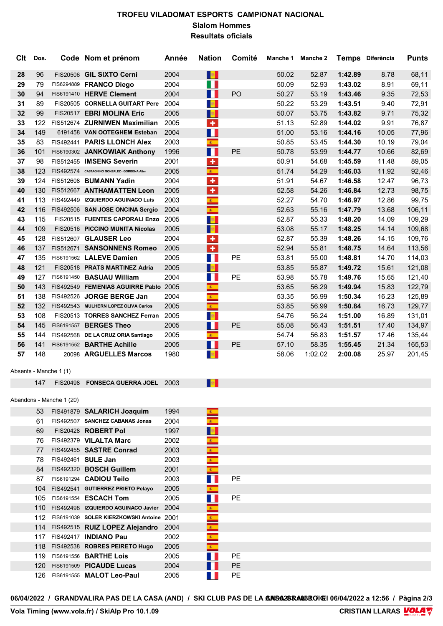### **TROFEU VILADOMAT ESPORTS CAMPIONAT NACIONAL Slalom Hommes Resultats oficials**

|    | CIt Dos. |                          | Code Nom et prénom                            | Année | <b>Nation</b>               | Comité         |       | Manche 1 Manche 2 |         | Temps Diferència | <b>Punts</b> |
|----|----------|--------------------------|-----------------------------------------------|-------|-----------------------------|----------------|-------|-------------------|---------|------------------|--------------|
| 28 | 96       |                          | FIS20506 GIL SIXTO Cerni                      | 2004  | <b>B</b>                    |                | 50.02 | 52.87             | 1:42.89 | 8.78             | 68,11        |
| 29 | 79       |                          | FIS6294889 FRANCO Diego                       | 2004  | a p                         |                | 50.09 | 52.93             | 1:43.02 | 8.91             | 69,11        |
| 30 | 94       |                          | FIS6191410 HERVE Clement                      | 2004  | a ka                        | P <sub>O</sub> | 50.27 | 53.19             | 1:43.46 | 9.35             | 72,53        |
| 31 | 89       |                          | FIS20505 CORNELLA GUITART Pere                | 2004  | <b>B</b>                    |                | 50.22 | 53.29             | 1:43.51 | 9.40             | 72,91        |
| 32 | 99       |                          | FIS20517 EBRI MOLINA Eric                     | 2005  | <b>B</b>                    |                | 50.07 | 53.75             | 1:43.82 | 9.71             | 75,32        |
| 33 | 122      |                          | FIS512674 ZURNIWEN Maximilian                 | 2005  | $\color{red}+$              |                | 51.13 | 52.89             | 1:44.02 | 9.91             | 76,87        |
| 34 | 149      |                          | 6191458 VAN OOTEGHEM Esteban                  | 2004  | H                           |                | 51.00 | 53.16             | 1:44.16 | 10.05            | 77,96        |
| 35 | 83       |                          | FIS492441 PARIS LLONCH Alex                   | 2003  | $\mathbf{z}$                |                | 50.85 | 53.45             | 1:44.30 | 10.19            | 79,04        |
| 36 | 101      |                          | FIS6190302 JANKOWIAK Anthony                  | 1996  | a p                         | PE             | 50.78 | 53.99             | 1:44.77 | 10.66            | 82,69        |
| 37 | 98       |                          | FIS512455 IMSENG Severin                      | 2001  | ٠                           |                | 50.91 | 54.68             | 1:45.59 | 11.48            | 89,05        |
| 38 | 123      |                          | FIS492574 CASTAGNINO GONZALEZ - GORBENA Aitor | 2005  | $\mathbf{R}^{\mathrm{eff}}$ |                | 51.74 | 54.29             | 1:46.03 | 11.92            | 92,46        |
| 39 | 124      |                          | FIS512608 BUMANN Yadin                        | 2004  | $\ddot{\textbf{r}}$         |                | 51.91 | 54.67             | 1:46.58 | 12.47            | 96,73        |
| 40 | 130      |                          | FIS512667 ANTHAMATTEN Leon                    | 2005  | ÷                           |                | 52.58 | 54.26             | 1:46.84 | 12.73            | 98,75        |
| 41 | 113      |                          | FIS492449 IZQUIERDO AGUINACO Luis             | 2003  | $\mathbf{A}^{\top}$         |                | 52.27 | 54.70             | 1:46.97 | 12.86            | 99,75        |
| 42 | 116      |                          | FIS492506 SAN JOSE ONCINA Sergio              | 2004  | $\mathbf{R}^{\top}$         |                | 52.63 | 55.16             | 1:47.79 | 13.68            | 106,11       |
| 43 | 115      |                          | FIS20515 FUENTES CAPORALI Enzo                | 2005  | 收                           |                | 52.87 | 55.33             | 1:48.20 | 14.09            | 109,29       |
| 44 | 109      |                          | FIS20516 PICCINO MUNITA Nicolas               | 2005  |                             |                | 53.08 | 55.17             | 1:48.25 | 14.14            | 109,68       |
| 45 | 128      |                          | FIS512607 GLAUSER Leo                         | 2004  | a.                          |                | 52.87 | 55.39             | 1:48.26 | 14.15            | 109,76       |
|    |          |                          |                                               |       | $\color{red}+$              |                |       |                   |         |                  |              |
| 46 | 137      |                          | FIS512671 SANSONNENS Romeo                    | 2005  | $\pm$                       | PE             | 52.94 | 55.81             | 1:48.75 | 14.64            | 113,56       |
| 47 | 135      |                          | FIS6191562 LALEVE Damien                      | 2005  | M.                          |                | 53.81 | 55.00             | 1:48.81 | 14.70            | 114,03       |
| 48 | 121      |                          | FIS20518 PRATS MARTINEZ Adria                 | 2005  | <b>B</b>                    |                | 53.85 | 55.87             | 1:49.72 | 15.61            | 121,08       |
| 49 | 127      |                          | FIS6191450 BASUAU William                     | 2004  | a ka                        | <b>PE</b>      | 53.98 | 55.78             | 1:49.76 | 15.65            | 121,40       |
| 50 | 143      |                          | FIS492549 FEMENIAS AGUIRRE Pablo 2005         |       | $\mathbf{R}_{\perp}$        |                | 53.65 | 56.29             | 1:49.94 | 15.83            | 122,79       |
| 51 | 138      |                          | FIS492526 JORGE BERGE Jan                     | 2004  | $\mathbf{R}^{\pm}$          |                | 53.35 | 56.99             | 1:50.34 | 16.23            | 125,89       |
| 52 | 132      |                          | FIS492543 MULHERN LOPEZ OLIVA Carlos          | 2005  | $\mathbf{R}^{\top}$         |                | 53.85 | 56.99             | 1:50.84 | 16.73            | 129,77       |
| 53 | 108      |                          | FIS20513 TORRES SANCHEZ Ferran                | 2005  | <b>B</b>                    |                | 54.76 | 56.24             | 1:51.00 | 16.89            | 131,01       |
| 54 | 145      |                          | FIS6191557 BERGES Theo                        | 2005  | a ka                        | PE             | 55.08 | 56.43             | 1:51.51 | 17.40            | 134,97       |
| 55 | 144      |                          | FIS492568 DE LA CRUZ ORIA Santiago            | 2005  | $\mathcal{R}^{\pm}$         |                | 54.74 | 56.83             | 1:51.57 | 17.46            | 135,44       |
| 56 | 141      |                          | FIS6191552 BARTHE Achille                     | 2005  | $\blacksquare$              | PE             | 57.10 | 58.35             | 1:55.45 | 21.34            | 165,53       |
| 57 | 148      |                          | 20098 ARGUELLES Marcos                        | 1980  | $\frac{1}{2}$               |                | 58.06 | 1:02.02           | 2:00.08 | 25.97            | 201,45       |
|    |          | Absents - Manche 1 (1)   |                                               |       |                             |                |       |                   |         |                  |              |
|    |          |                          |                                               |       |                             |                |       |                   |         |                  |              |
|    |          |                          | 147 FIS20498 FONSECA GUERRA JOEL 2003         |       | $\mathbb{R}^n$              |                |       |                   |         |                  |              |
|    |          | Abandons - Manche 1 (20) |                                               |       |                             |                |       |                   |         |                  |              |
|    | 53       |                          | FIS491879 SALARICH Joaquim                    | 1994  | $\mathcal{R}^+$             |                |       |                   |         |                  |              |
|    | 61       |                          | FIS492507 SANCHEZ CABANAS Jonas               | 2004  | $\mathbb{R}^+$              |                |       |                   |         |                  |              |
|    | 69       |                          | FIS20428 ROBERT Pol                           | 1997  | $\frac{d\theta}{dt}$        |                |       |                   |         |                  |              |
|    | 76       |                          | FIS492379 VILALTA Marc                        | 2002  |                             |                |       |                   |         |                  |              |
|    | 77       |                          | FIS492455 SASTRE Conrad                       | 2003  |                             |                |       |                   |         |                  |              |
|    |          |                          | 78 FIS492461 SULE Jan                         | 2003  | $\mathbf{R}^{\top}$         |                |       |                   |         |                  |              |
|    |          |                          | 84 FIS492320 BOSCH Guillem                    | 2001  | $\mathcal{R}^{(0)}$         |                |       |                   |         |                  |              |
|    | 87       |                          | FIS6191294 CADIOU Teilo                       | 2003  | H                           | PE             |       |                   |         |                  |              |
|    |          |                          | 104 FIS492541 GUTIERREZ PRIETO Pelayo         | 2005  | $\mathbf{z}_\perp$          |                |       |                   |         |                  |              |
|    |          |                          | 105 FIS6191554 ESCACH Tom                     | 2005  | Ŧ                           | PE             |       |                   |         |                  |              |
|    |          |                          | 110 FIS492498 IZQUIERDO AGUINACO Javier 2004  |       | $\mathbf{g}_{\mathrm{in}}$  |                |       |                   |         |                  |              |
|    |          |                          | 112 FIS6191039 SOLER KIERZKOWSKI Antoine 2001 |       | s.                          |                |       |                   |         |                  |              |
|    |          |                          | 114 FIS492515 RUIZ LOPEZ Alejandro            | 2004  | æ.                          |                |       |                   |         |                  |              |
|    |          |                          | 117 FIS492417 <b>INDIANO Pau</b>              | 2002  | $\mathbf{k}$ .              |                |       |                   |         |                  |              |
|    | 118      |                          | FIS492538 ROBRES PEIRETO Hugo                 | 2005  | $\mathbf{z}_\perp$          |                |       |                   |         |                  |              |
|    |          |                          | 119 FIS6191556 BARTHE Lois                    | 2005  | M.                          | PE             |       |                   |         |                  |              |
|    |          |                          | 120 FIS6191509 PICAUDE Lucas                  | 2004  | H                           | <b>PE</b>      |       |                   |         |                  |              |
|    |          |                          | 126   FIS6191555   MALOT Leo-Paul             | 2005  | W                           | <b>PE</b>      |       |                   |         |                  |              |
|    |          |                          |                                               |       |                             |                |       |                   |         |                  |              |

06/04/2022 / GRANDVALIRA PAS DE LA CASA (AND) / SKI CLUB PAS DE LA **GRIGA28RAOBROIGI** 06/04/2022 a 12:56 / Pàgina 2/3